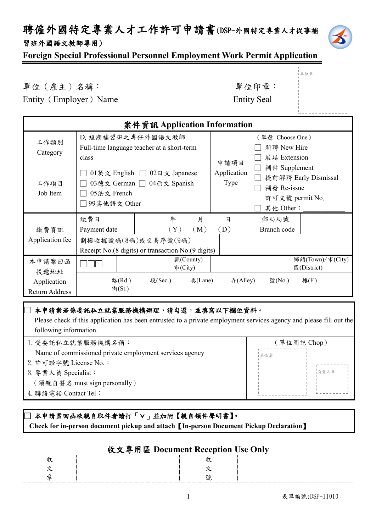### 聘僱外國特定專業人才工作許可申請書(DSP-外國特定專業人才從事補 習班外國語文教師專用)



單位章

**Foreign Special Professional Personnel Employment Work Permit Application**

單位(雇主)名稱: 李 李 李 李 李 李 李 望位印章:

Entity (Employer) Name Entity Seal

|                                      |                                                           | 案件資訊 Application Information                                                                             |         |                             |                                                                                |                                              |
|--------------------------------------|-----------------------------------------------------------|----------------------------------------------------------------------------------------------------------|---------|-----------------------------|--------------------------------------------------------------------------------|----------------------------------------------|
| 工作類別<br>Category<br>工作項目<br>Job Item | D. 短期補習班之專任外國語文教師<br>class<br>05法文 French<br>99其他語文 Other | Full-time language teacher at a short-term<br>01英文 English □ 02日文 Japanese<br>03德文 German □ 04西文 Spanish |         | 申請項目<br>Application<br>Type | (單選 Choose One)<br>新聘 New Hire<br>展延 Extension<br>補件 Supplement<br>補發 Re-issue | 提前解聘 Early Dismissal<br>許可文號 permit No. ____ |
|                                      | 繳費日                                                       | 月<br>年                                                                                                   |         | $\mathsf{B}$                | 其他 Other:<br>郵局局號                                                              |                                              |
| 繳費資訊                                 | Payment date                                              | $(\,\mathrm{Y}\,)$<br>(M)                                                                                |         | (D)                         | Branch code                                                                    |                                              |
| Application fee                      |                                                           | 劃撥收據號碼(8碼)或交易序號(9碼)<br>Receipt No. (8 digits) or transaction No. (9 digits)                              |         |                             |                                                                                |                                              |
| 本申請案回函<br>投遞地址                       |                                                           | 縣(County)<br>市(City)                                                                                     |         |                             |                                                                                | 鄉鎮(Town)/市(City)<br>E(District)              |
| Application<br><b>Return Address</b> | 路(Rd.)<br>街(St.)                                          | 段(Sec.)                                                                                                  | 巷(Lane) | #(Alley)                    | 號(No.)                                                                         | 樓(F.)                                        |

#### □本申請案若係委託私立就業服務機構辦理,請勾選,並填寫以下欄位資料。

 Please check if this application has been entrusted to a private employment services agency and please fill out the following information.

| 1. 受委託私立就業服務機構名稱:                                       | (單位圖記 Chop) |  |  |
|---------------------------------------------------------|-------------|--|--|
| Name of commissioned private employment services agency | 單位章         |  |  |
| 2. 許可證字號 License No.:                                   |             |  |  |
| 3. 專業人員 Specialist:                                     | 自青人章        |  |  |
| (須親自簽名 must sign personally)                            |             |  |  |
| 4. 聯絡電話 Contact Tel:                                    |             |  |  |
|                                                         |             |  |  |

#### ]本申請案回函欲親自取件者請打「∨」並加附【親自領件聲明書】。  **Check for in-person document pickup and attach**【**In-person Document Pickup Declaration**】

| 收文專用區 Document Reception Use Only |  |
|-----------------------------------|--|
|                                   |  |
|                                   |  |
|                                   |  |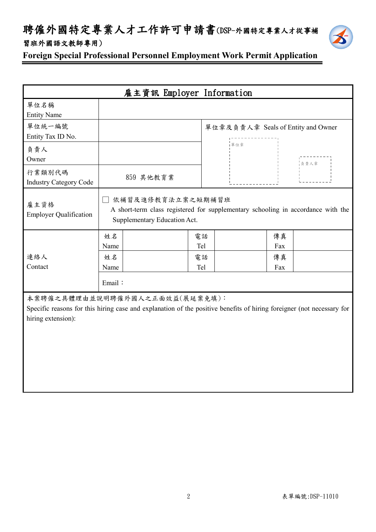## 聘僱外國特定專業人才工作許可申請書(DSP-外國特定專業人才從事補 習班外國語文教師專用)



**Foreign Special Professional Personnel Employment Work Permit Application**

|                                                                                                                                                                               |            | 雇主資訊 Employer Information                                                                                                               |           |                                    |           |      |
|-------------------------------------------------------------------------------------------------------------------------------------------------------------------------------|------------|-----------------------------------------------------------------------------------------------------------------------------------------|-----------|------------------------------------|-----------|------|
| 單位名稱<br><b>Entity Name</b>                                                                                                                                                    |            |                                                                                                                                         |           |                                    |           |      |
| 單位統一編號<br>Entity Tax ID No.                                                                                                                                                   |            |                                                                                                                                         |           | 單位章及負責人章 Seals of Entity and Owner |           |      |
| 負責人<br>Owner                                                                                                                                                                  |            |                                                                                                                                         |           | 單位章                                |           | 負責人章 |
| 行業類別代碼<br><b>Industry Category Code</b>                                                                                                                                       |            | 859 其他教育業                                                                                                                               |           |                                    |           |      |
| 雇主資格<br><b>Employer Qualification</b>                                                                                                                                         |            | □ 依補習及進修教育法立案之短期補習班<br>A short-term class registered for supplementary schooling in accordance with the<br>Supplementary Education Act. |           |                                    |           |      |
|                                                                                                                                                                               | 姓名<br>Name |                                                                                                                                         | 電話<br>Tel |                                    | 傳真<br>Fax |      |
| 連絡人<br>Contact                                                                                                                                                                | 姓名<br>Name |                                                                                                                                         | 電話<br>Tel |                                    | 傳真<br>Fax |      |
|                                                                                                                                                                               | Email:     |                                                                                                                                         |           |                                    |           |      |
| 本案聘僱之具體理由並說明聘僱外國人之正面效益(展延案免填):<br>Specific reasons for this hiring case and explanation of the positive benefits of hiring foreigner (not necessary for<br>hiring extension): |            |                                                                                                                                         |           |                                    |           |      |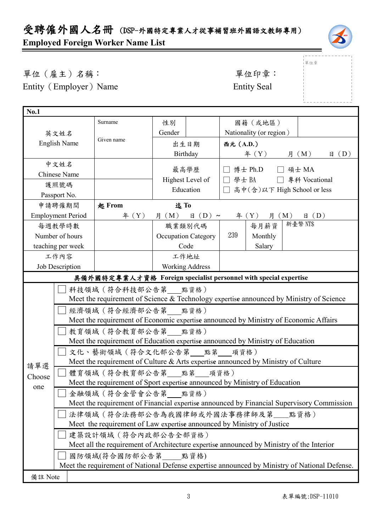# 受聘僱外國人名冊 (DSP-外國特定專業人才從事補習班外國語文教師專用) **Employed Foreign Worker Name List**



|<br>|單位章

單位(雇主)名稱: 第四章: 李位印章: 第一 Entity (Employer) Name Entity Seal

| <b>No.1</b>                                                                                                    |                                                                                                                  |                                                                                      |                             |                                                         |     |                         |  |                |                |
|----------------------------------------------------------------------------------------------------------------|------------------------------------------------------------------------------------------------------------------|--------------------------------------------------------------------------------------|-----------------------------|---------------------------------------------------------|-----|-------------------------|--|----------------|----------------|
|                                                                                                                |                                                                                                                  | Surname                                                                              | 性別                          |                                                         |     | 國籍(或地區)                 |  |                |                |
| 英文姓名                                                                                                           |                                                                                                                  | Gender                                                                               |                             | Nationality (or region)                                 |     |                         |  |                |                |
|                                                                                                                | <b>English Name</b>                                                                                              | Given name                                                                           |                             | 出生日期                                                    |     | 西元 (A.D.)               |  |                |                |
|                                                                                                                |                                                                                                                  |                                                                                      | Birthday                    |                                                         |     | $\text{4}(Y)$           |  | 月 (M)          | $\boxplus$ (D) |
|                                                                                                                | 中文姓名                                                                                                             |                                                                                      |                             |                                                         |     |                         |  |                |                |
| <b>Chinese Name</b>                                                                                            |                                                                                                                  |                                                                                      | 最高學歷                        | 博士 Ph.D □ 碩士 MA<br>$\Box$<br>□ 學士 BA<br>□ 專科 Vocational |     |                         |  |                |                |
| Highest Level of<br>護照號碼<br>Education                                                                          |                                                                                                                  |                                                                                      | 高中(含)以下 High School or less |                                                         |     |                         |  |                |                |
|                                                                                                                | Passport No.                                                                                                     |                                                                                      |                             |                                                         |     |                         |  |                |                |
|                                                                                                                | 申請聘僱期間                                                                                                           | 起 From                                                                               | 迄To                         |                                                         |     |                         |  |                |                |
|                                                                                                                | <b>Employment Period</b>                                                                                         | # (Y)                                                                                | 月 (M)                       | $\boxplus$ (D) ~                                        |     | <b>月</b> (M)<br>年 $(Y)$ |  | $\boxplus$ (D) |                |
|                                                                                                                | 每週教學時數                                                                                                           |                                                                                      | 職業類別代碼                      |                                                         |     | 每月薪資                    |  | 新臺幣 NT\$       |                |
|                                                                                                                | Number of hours                                                                                                  |                                                                                      |                             | <b>Occupation Category</b>                              | 239 | Monthly                 |  |                |                |
|                                                                                                                | teaching per week                                                                                                |                                                                                      |                             | Code                                                    |     | Salary                  |  |                |                |
|                                                                                                                | 工作內容                                                                                                             |                                                                                      |                             | 工作地址                                                    |     |                         |  |                |                |
| <b>Job Description</b><br><b>Working Address</b>                                                               |                                                                                                                  |                                                                                      |                             |                                                         |     |                         |  |                |                |
| 具備外國特定專業人才資格 Foreign specialist personnel with special expertise                                               |                                                                                                                  |                                                                                      |                             |                                                         |     |                         |  |                |                |
| 科技領域 (符合科技部公告第 點資格)<br>Meet the requirement of Science & Technology expertise announced by Ministry of Science |                                                                                                                  |                                                                                      |                             |                                                         |     |                         |  |                |                |
|                                                                                                                | 經濟領域 (符合經濟部公告第 點資格)                                                                                              |                                                                                      |                             |                                                         |     |                         |  |                |                |
|                                                                                                                |                                                                                                                  | Meet the requirement of Economic expertise announced by Ministry of Economic Affairs |                             |                                                         |     |                         |  |                |                |
|                                                                                                                |                                                                                                                  | 教育領域 (符合教育部公告第 點資格)                                                                  |                             |                                                         |     |                         |  |                |                |
|                                                                                                                |                                                                                                                  | Meet the requirement of Education expertise announced by Ministry of Education       |                             |                                                         |     |                         |  |                |                |
|                                                                                                                |                                                                                                                  | 文化、藝術領域(符合文化部公告第___點第___項資格)                                                         |                             |                                                         |     |                         |  |                |                |
| 請單選                                                                                                            |                                                                                                                  | Meet the requirement of Culture & Arts expertise announced by Ministry of Culture    |                             |                                                         |     |                         |  |                |                |
| Choose                                                                                                         |                                                                                                                  | 體育領域(符合教育部公告第 點第 項資格)                                                                |                             |                                                         |     |                         |  |                |                |
| one                                                                                                            |                                                                                                                  | Meet the requirement of Sport expertise announced by Ministry of Education           |                             |                                                         |     |                         |  |                |                |
|                                                                                                                | 金融領域 (符合金管會公告第 點資格)                                                                                              |                                                                                      |                             |                                                         |     |                         |  |                |                |
|                                                                                                                | Meet the requirement of Financial expertise announced by Financial Supervisory Commission                        |                                                                                      |                             |                                                         |     |                         |  |                |                |
|                                                                                                                | 法律領域 (符合法務部公告為我國律師或外國法事務律師及第__點資格)<br>Meet the requirement of Law expertise announced by Ministry of Justice     |                                                                                      |                             |                                                         |     |                         |  |                |                |
|                                                                                                                |                                                                                                                  |                                                                                      |                             |                                                         |     |                         |  |                |                |
|                                                                                                                | 建築設計領域 (符合內政部公告全部資格)<br>Meet all the requirement of Architecture expertise announced by Ministry of the Interior |                                                                                      |                             |                                                         |     |                         |  |                |                |
|                                                                                                                |                                                                                                                  | 國防領域(符合國防部公告第 點資格)                                                                   |                             |                                                         |     |                         |  |                |                |
|                                                                                                                | Meet the requirement of National Defense expertise announced by Ministry of National Defense.                    |                                                                                      |                             |                                                         |     |                         |  |                |                |
| 備註 Note                                                                                                        |                                                                                                                  |                                                                                      |                             |                                                         |     |                         |  |                |                |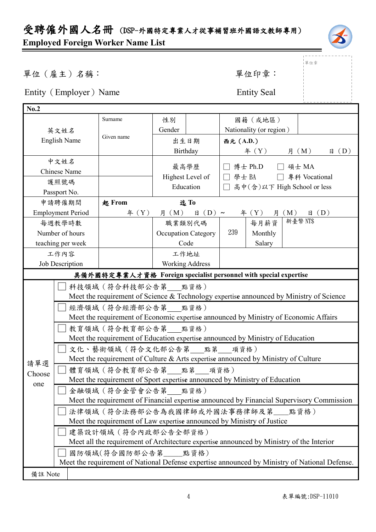

」<br>」單位章

單位(雇主)名稱: 第六章: 李仁平 李 雷位印章:

Entity (Employer) Name Entity Seal

| No.2                                      |                                                                                                                                                                                                                                                                                                                                                                                                                                                                                                                                                                                                                                                                                                                                                                                                                                                                                                                                                    |                                      |                            |                               |                         |         |                |  |
|-------------------------------------------|----------------------------------------------------------------------------------------------------------------------------------------------------------------------------------------------------------------------------------------------------------------------------------------------------------------------------------------------------------------------------------------------------------------------------------------------------------------------------------------------------------------------------------------------------------------------------------------------------------------------------------------------------------------------------------------------------------------------------------------------------------------------------------------------------------------------------------------------------------------------------------------------------------------------------------------------------|--------------------------------------|----------------------------|-------------------------------|-------------------------|---------|----------------|--|
| Surname                                   |                                                                                                                                                                                                                                                                                                                                                                                                                                                                                                                                                                                                                                                                                                                                                                                                                                                                                                                                                    | 性別                                   |                            | 國籍(或地區)                       |                         |         |                |  |
| 英文姓名                                      |                                                                                                                                                                                                                                                                                                                                                                                                                                                                                                                                                                                                                                                                                                                                                                                                                                                                                                                                                    | Gender                               |                            |                               | Nationality (or region) |         |                |  |
| <b>English Name</b>                       | Given name                                                                                                                                                                                                                                                                                                                                                                                                                                                                                                                                                                                                                                                                                                                                                                                                                                                                                                                                         |                                      | 出生日期                       |                               | 西元 (A.D.)               |         |                |  |
|                                           |                                                                                                                                                                                                                                                                                                                                                                                                                                                                                                                                                                                                                                                                                                                                                                                                                                                                                                                                                    | Birthday                             |                            |                               | 年 $(Y)$                 | 月 $(M)$ | $\boxplus$ (D) |  |
| 中文姓名                                      |                                                                                                                                                                                                                                                                                                                                                                                                                                                                                                                                                                                                                                                                                                                                                                                                                                                                                                                                                    |                                      |                            |                               |                         |         |                |  |
| Chinese Name                              |                                                                                                                                                                                                                                                                                                                                                                                                                                                                                                                                                                                                                                                                                                                                                                                                                                                                                                                                                    | 最高學歷                                 |                            | □ 博士 Ph.D □ 碩士 MA             |                         |         |                |  |
| 護照號碼                                      |                                                                                                                                                                                                                                                                                                                                                                                                                                                                                                                                                                                                                                                                                                                                                                                                                                                                                                                                                    | Highest Level of<br>Education<br>迄To |                            | □ 學士 BA □ 專科 Vocational       |                         |         |                |  |
| Passport No.                              |                                                                                                                                                                                                                                                                                                                                                                                                                                                                                                                                                                                                                                                                                                                                                                                                                                                                                                                                                    |                                      |                            | □ 高中(含)以下 High School or less |                         |         |                |  |
| 申請聘僱期間                                    | 起 From                                                                                                                                                                                                                                                                                                                                                                                                                                                                                                                                                                                                                                                                                                                                                                                                                                                                                                                                             |                                      |                            |                               |                         |         |                |  |
| <b>Employment Period</b>                  | 年 $(Y)$                                                                                                                                                                                                                                                                                                                                                                                                                                                                                                                                                                                                                                                                                                                                                                                                                                                                                                                                            | 月 (M)                                | $\boxplus$ (D) ~           |                               | 年 (Y) 月 (M)             |         | $\boxplus$ (D) |  |
| 每週教學時數                                    |                                                                                                                                                                                                                                                                                                                                                                                                                                                                                                                                                                                                                                                                                                                                                                                                                                                                                                                                                    |                                      | 職業類別代碼                     |                               | 每月薪資                    | 新臺幣 NTS |                |  |
| Number of hours                           |                                                                                                                                                                                                                                                                                                                                                                                                                                                                                                                                                                                                                                                                                                                                                                                                                                                                                                                                                    |                                      | <b>Occupation Category</b> | 239                           | Monthly                 |         |                |  |
| teaching per week                         |                                                                                                                                                                                                                                                                                                                                                                                                                                                                                                                                                                                                                                                                                                                                                                                                                                                                                                                                                    |                                      | Code                       |                               | Salary                  |         |                |  |
| 工作內容<br>工作地址                              |                                                                                                                                                                                                                                                                                                                                                                                                                                                                                                                                                                                                                                                                                                                                                                                                                                                                                                                                                    |                                      |                            |                               |                         |         |                |  |
| <b>Working Address</b><br>Job Description |                                                                                                                                                                                                                                                                                                                                                                                                                                                                                                                                                                                                                                                                                                                                                                                                                                                                                                                                                    |                                      |                            |                               |                         |         |                |  |
|                                           | 具備外國特定專業人才資格 Foreign specialist personnel with special expertise                                                                                                                                                                                                                                                                                                                                                                                                                                                                                                                                                                                                                                                                                                                                                                                                                                                                                   |                                      |                            |                               |                         |         |                |  |
| 請單選<br>Choose<br>one                      | 科技領域 (符合科技部公告第 __ 點資格)<br>Meet the requirement of Science & Technology expertise announced by Ministry of Science<br>經濟領域 (符合經濟部公告第 點資格)<br>Meet the requirement of Economic expertise announced by Ministry of Economic Affairs<br>教育領域 (符合教育部公告第 點資格)<br>Meet the requirement of Education expertise announced by Ministry of Education<br>文化、藝術領域 (符合文化部公告第 點第 項資格)<br>Meet the requirement of Culture & Arts expertise announced by Ministry of Culture<br>體育領域(符合教育部公告第 點第 項資格)<br>Meet the requirement of Sport expertise announced by Ministry of Education<br>金融領域 (符合金管會公告第 點資格)<br>Meet the requirement of Financial expertise announced by Financial Supervisory Commission<br>法律領域 (符合法務部公告為我國律師或外國法事務律師及第 點資格)<br>Meet the requirement of Law expertise announced by Ministry of Justice<br>建築設計領域 (符合內政部公告全部資格)<br>Meet all the requirement of Architecture expertise announced by Ministry of the Interior<br>國防領域(符合國防部公告第____點資格) |                                      |                            |                               |                         |         |                |  |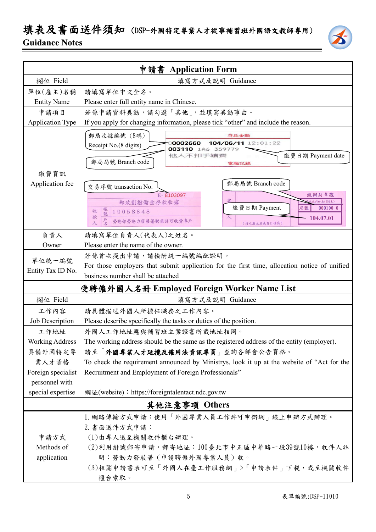## 填表及書面送件須知 (DSP-外國特定專業人才從事補習班外國語文教師專用) **Guidance Notes**



|                                     | 申請書 Application Form                                                                                                                                                      |  |  |  |
|-------------------------------------|---------------------------------------------------------------------------------------------------------------------------------------------------------------------------|--|--|--|
| 欄位 Field                            | 填寫方式及說明 Guidance                                                                                                                                                          |  |  |  |
| 單位(雇主)名稱                            | 請填寫單位中文全名。                                                                                                                                                                |  |  |  |
| <b>Entity Name</b>                  | Please enter full entity name in Chinese.                                                                                                                                 |  |  |  |
| 申請項目                                | 若係申請資料異動,請勾選「其他」,並填寫異動事由。                                                                                                                                                 |  |  |  |
| <b>Application Type</b>             | If you apply for changing information, please tick "other" and include the reason.                                                                                        |  |  |  |
| 繳費資訊                                | 郵局收據編號 (8碼)<br>存款金額<br>104/06/11 12:01:22<br>0002660<br>Receipt No.(8 digits)<br>003110 1A6 359779<br>他人不扣手續靈<br>繳費日期 Payment date<br>郵局局號 Branch code<br>電腦記錄            |  |  |  |
| Application fee                     | 郵局局號 Branch code<br>交易序號 transaction No.                                                                                                                                  |  |  |  |
|                                     | E-8103097<br>經辦局章戳<br>郵政劃撥儲金存款收據<br><b>七門郵局(901支)</b><br>繳費日期 Payment<br>$000100 - 6$<br>局號<br>帳號<br>19058848<br>收<br>款<br>104.07.01<br>勞動部勞動力發展署聘僱許可收費專戶<br>(請以雇主名義自行填寫) |  |  |  |
| 負責人                                 | 請填寫單位負責人(代表人)之姓名。                                                                                                                                                         |  |  |  |
| Owner                               | Please enter the name of the owner.                                                                                                                                       |  |  |  |
| 單位統一編號<br>Entity Tax ID No.         | 若係首次提出申請,請檢附統一編號編配證明。<br>For those employers that submit application for the first time, allocation notice of unified<br>business number shall be attached                |  |  |  |
|                                     | 受聘僱外國人名冊 Employed Foreign Worker Name List                                                                                                                                |  |  |  |
| 欄位 Field                            | 填寫方式及說明 Guidance                                                                                                                                                          |  |  |  |
| 工作內容                                | 請具體描述外國人所擔任職務之工作內容。                                                                                                                                                       |  |  |  |
| Job Description                     | Please describe specifically the tasks or duties of the position.                                                                                                         |  |  |  |
| 工作地址                                | 外國人工作地址應與補習班立案證書所載地址相同。                                                                                                                                                   |  |  |  |
| <b>Working Address</b>              | The working address should be the same as the registered address of the entity (employer).                                                                                |  |  |  |
| 具備外國特定專                             | 請至「外國專業人才延攬及僱用法資訊專頁」查詢各部會公告資格。                                                                                                                                            |  |  |  |
| 業人才資格                               | To check the requirement announced by Ministrys, look it up at the website of "Act for the                                                                                |  |  |  |
| Foreign specialist                  | Recruitment and Employment of Foreign Professionals"                                                                                                                      |  |  |  |
| personnel with<br>special expertise | 網址(website): https://foreigntalentact.ndc.gov.tw                                                                                                                          |  |  |  |
|                                     |                                                                                                                                                                           |  |  |  |
| 其他注意事項 Others                       |                                                                                                                                                                           |  |  |  |
|                                     | 1. 網路傳輸方式申請:使用「外國專業人員工作許可申辦網」線上申辦方式辦理。<br>2. 書面送件方式申請:                                                                                                                    |  |  |  |
| 申請方式                                | (1)由專人送至機關收件櫃台辦理。                                                                                                                                                         |  |  |  |
| Methods of                          | (2)利用掛號郵寄申請,郵寄地址:100臺北市中正區中華路一段39號10樓,收件人註                                                                                                                                |  |  |  |
| application                         | 明:勞動力發展署(申請聘僱外國專業人員)收。                                                                                                                                                    |  |  |  |
|                                     | (3)相關申請書表可至「外國人在臺工作服務網」>「申請表件」下載,或至機關收件<br>櫃台索取。                                                                                                                          |  |  |  |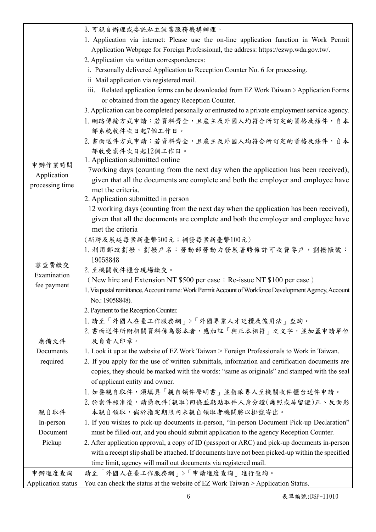| 1. Application via internet: Please use the on-line application function in Work Permit<br>Application Webpage for Foreign Professional, the address: https://ezwp.wda.gov.tw/.<br>2. Application via written correspondences:<br>i. Personally delivered Application to Reception Counter No. 6 for processing.<br>ii Mail application via registered mail.<br>iii. Related application forms can be downloaded from EZ Work Taiwan > Application Forms<br>or obtained from the agency Reception Counter.<br>3. Application can be completed personally or entrusted to a private employment service agency.<br>1. 網路傳輸方式申請:若資料齊全,且雇主及外國人均符合所訂定的資格及條件,自本<br>部系統收件次日起7個工作日。<br>2. 書面送件方式申請:若資料齊全,且雇主及外國人均符合所訂定的資格及條件,自本<br>部收受案件次日起12個工作日。<br>1. Application submitted online<br>申辦作業時間<br>7 working days (counting from the next day when the application has been received),<br>Application<br>given that all the documents are complete and both the employer and employee have |
|------------------------------------------------------------------------------------------------------------------------------------------------------------------------------------------------------------------------------------------------------------------------------------------------------------------------------------------------------------------------------------------------------------------------------------------------------------------------------------------------------------------------------------------------------------------------------------------------------------------------------------------------------------------------------------------------------------------------------------------------------------------------------------------------------------------------------------------------------------------------------------------------------------------------------------------------------------------------------------|
|                                                                                                                                                                                                                                                                                                                                                                                                                                                                                                                                                                                                                                                                                                                                                                                                                                                                                                                                                                                    |
|                                                                                                                                                                                                                                                                                                                                                                                                                                                                                                                                                                                                                                                                                                                                                                                                                                                                                                                                                                                    |
|                                                                                                                                                                                                                                                                                                                                                                                                                                                                                                                                                                                                                                                                                                                                                                                                                                                                                                                                                                                    |
|                                                                                                                                                                                                                                                                                                                                                                                                                                                                                                                                                                                                                                                                                                                                                                                                                                                                                                                                                                                    |
|                                                                                                                                                                                                                                                                                                                                                                                                                                                                                                                                                                                                                                                                                                                                                                                                                                                                                                                                                                                    |
|                                                                                                                                                                                                                                                                                                                                                                                                                                                                                                                                                                                                                                                                                                                                                                                                                                                                                                                                                                                    |
|                                                                                                                                                                                                                                                                                                                                                                                                                                                                                                                                                                                                                                                                                                                                                                                                                                                                                                                                                                                    |
|                                                                                                                                                                                                                                                                                                                                                                                                                                                                                                                                                                                                                                                                                                                                                                                                                                                                                                                                                                                    |
|                                                                                                                                                                                                                                                                                                                                                                                                                                                                                                                                                                                                                                                                                                                                                                                                                                                                                                                                                                                    |
|                                                                                                                                                                                                                                                                                                                                                                                                                                                                                                                                                                                                                                                                                                                                                                                                                                                                                                                                                                                    |
|                                                                                                                                                                                                                                                                                                                                                                                                                                                                                                                                                                                                                                                                                                                                                                                                                                                                                                                                                                                    |
|                                                                                                                                                                                                                                                                                                                                                                                                                                                                                                                                                                                                                                                                                                                                                                                                                                                                                                                                                                                    |
|                                                                                                                                                                                                                                                                                                                                                                                                                                                                                                                                                                                                                                                                                                                                                                                                                                                                                                                                                                                    |
|                                                                                                                                                                                                                                                                                                                                                                                                                                                                                                                                                                                                                                                                                                                                                                                                                                                                                                                                                                                    |
| processing time                                                                                                                                                                                                                                                                                                                                                                                                                                                                                                                                                                                                                                                                                                                                                                                                                                                                                                                                                                    |
| met the criteria.                                                                                                                                                                                                                                                                                                                                                                                                                                                                                                                                                                                                                                                                                                                                                                                                                                                                                                                                                                  |
| 2. Application submitted in person                                                                                                                                                                                                                                                                                                                                                                                                                                                                                                                                                                                                                                                                                                                                                                                                                                                                                                                                                 |
| 12 working days (counting from the next day when the application has been received),                                                                                                                                                                                                                                                                                                                                                                                                                                                                                                                                                                                                                                                                                                                                                                                                                                                                                               |
| given that all the documents are complete and both the employer and employee have                                                                                                                                                                                                                                                                                                                                                                                                                                                                                                                                                                                                                                                                                                                                                                                                                                                                                                  |
| met the criteria                                                                                                                                                                                                                                                                                                                                                                                                                                                                                                                                                                                                                                                                                                                                                                                                                                                                                                                                                                   |
| (新聘及展延每案新臺幣500元;補發每案新臺幣100元)                                                                                                                                                                                                                                                                                                                                                                                                                                                                                                                                                                                                                                                                                                                                                                                                                                                                                                                                                       |
| 1. 利用郵政劃撥。劃撥戶名: 勞動部勞動力發展署聘僱許可收費專戶, 劃撥帳號:                                                                                                                                                                                                                                                                                                                                                                                                                                                                                                                                                                                                                                                                                                                                                                                                                                                                                                                                           |
| 19058848<br>審查費繳交                                                                                                                                                                                                                                                                                                                                                                                                                                                                                                                                                                                                                                                                                                                                                                                                                                                                                                                                                                  |
| 2. 至機關收件櫃台現場繳交。<br>Examination                                                                                                                                                                                                                                                                                                                                                                                                                                                                                                                                                                                                                                                                                                                                                                                                                                                                                                                                                     |
| (New hire and Extension NT \$500 per case; Re-issue NT \$100 per case)<br>fee payment                                                                                                                                                                                                                                                                                                                                                                                                                                                                                                                                                                                                                                                                                                                                                                                                                                                                                              |
| 1. Via postal remittance, Account name: Work Permit Account of Workforce Development Agency, Account                                                                                                                                                                                                                                                                                                                                                                                                                                                                                                                                                                                                                                                                                                                                                                                                                                                                               |
| No.: 19058848).                                                                                                                                                                                                                                                                                                                                                                                                                                                                                                                                                                                                                                                                                                                                                                                                                                                                                                                                                                    |
| 2. Payment to the Reception Counter.                                                                                                                                                                                                                                                                                                                                                                                                                                                                                                                                                                                                                                                                                                                                                                                                                                                                                                                                               |
| 1. 請至「外國人在臺工作服務網」>「外國專業人才延攬及僱用法」查詢。                                                                                                                                                                                                                                                                                                                                                                                                                                                                                                                                                                                                                                                                                                                                                                                                                                                                                                                                                |
| 2. 書面送件所附相關資料係為影本者,應加註「與正本相符」之文字,並加蓋申請單位                                                                                                                                                                                                                                                                                                                                                                                                                                                                                                                                                                                                                                                                                                                                                                                                                                                                                                                                           |
| 及負責人印章。<br>應備文件                                                                                                                                                                                                                                                                                                                                                                                                                                                                                                                                                                                                                                                                                                                                                                                                                                                                                                                                                                    |
| 1. Look it up at the website of EZ Work Taiwan > Foreign Professionals to Work in Taiwan.<br>Documents                                                                                                                                                                                                                                                                                                                                                                                                                                                                                                                                                                                                                                                                                                                                                                                                                                                                             |
| 2. If you apply for the use of written submittals, information and certification documents are<br>required                                                                                                                                                                                                                                                                                                                                                                                                                                                                                                                                                                                                                                                                                                                                                                                                                                                                         |
| copies, they should be marked with the words: "same as originals" and stamped with the seal                                                                                                                                                                                                                                                                                                                                                                                                                                                                                                                                                                                                                                                                                                                                                                                                                                                                                        |
| of applicant entity and owner.                                                                                                                                                                                                                                                                                                                                                                                                                                                                                                                                                                                                                                                                                                                                                                                                                                                                                                                                                     |
| 1. 如要親自取件,須填具「親自領件聲明書」並指派專人至機關收件櫃台送件申請。<br>2. 於案件核准後,請憑收件(親取)回條並黏貼取件人身分證(護照或居留證)正、反面影                                                                                                                                                                                                                                                                                                                                                                                                                                                                                                                                                                                                                                                                                                                                                                                                                                                                                              |
| 本親自領取,倘於指定期限內未親自領取者機關將以掛號寄出。                                                                                                                                                                                                                                                                                                                                                                                                                                                                                                                                                                                                                                                                                                                                                                                                                                                                                                                                                       |
| 親自取件<br>1. If you wishes to pick-up documents in-person, "In-person Document Pick-up Declaration"<br>In-person                                                                                                                                                                                                                                                                                                                                                                                                                                                                                                                                                                                                                                                                                                                                                                                                                                                                     |
| Document<br>must be filled-out, and you should submit application to the agency Reception Counter.                                                                                                                                                                                                                                                                                                                                                                                                                                                                                                                                                                                                                                                                                                                                                                                                                                                                                 |
| Pickup<br>2. After application approval, a copy of ID (passport or ARC) and pick-up documents in-person                                                                                                                                                                                                                                                                                                                                                                                                                                                                                                                                                                                                                                                                                                                                                                                                                                                                            |
| with a receipt slip shall be attached. If documents have not been picked-up within the specified                                                                                                                                                                                                                                                                                                                                                                                                                                                                                                                                                                                                                                                                                                                                                                                                                                                                                   |
| time limit, agency will mail out documents via registered mail.                                                                                                                                                                                                                                                                                                                                                                                                                                                                                                                                                                                                                                                                                                                                                                                                                                                                                                                    |
| 請至「外國人在臺工作服務網」>「申請進度查詢」進行查詢。<br>申辦進度查詢                                                                                                                                                                                                                                                                                                                                                                                                                                                                                                                                                                                                                                                                                                                                                                                                                                                                                                                                             |
| Application status<br>You can check the status at the website of EZ Work Taiwan > Application Status.                                                                                                                                                                                                                                                                                                                                                                                                                                                                                                                                                                                                                                                                                                                                                                                                                                                                              |